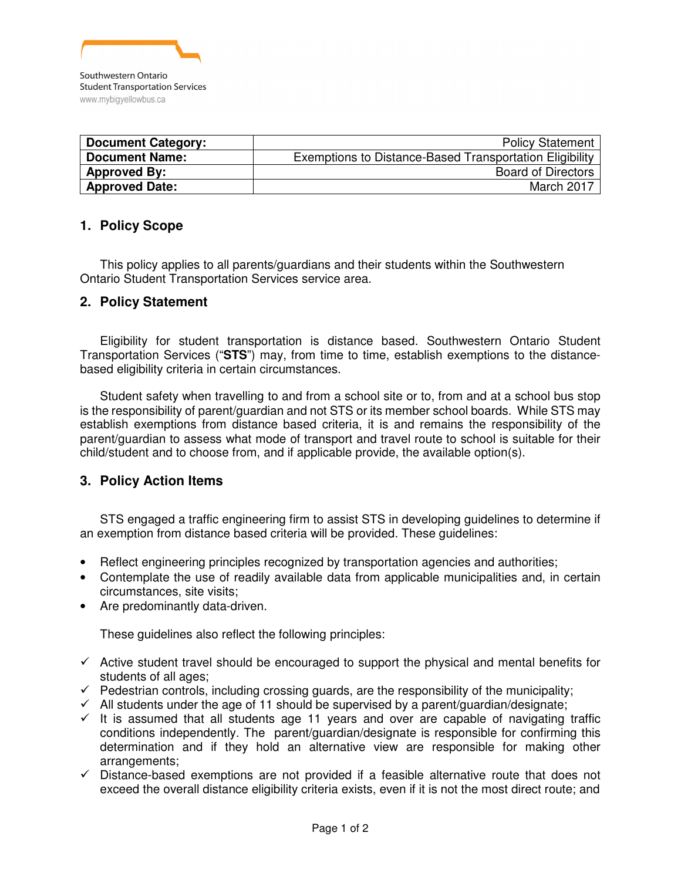

| <b>Document Category:</b> | <b>Policy Statement</b>                                 |
|---------------------------|---------------------------------------------------------|
| <b>Document Name:</b>     | Exemptions to Distance-Based Transportation Eligibility |
| <b>Approved By:</b>       | <b>Board of Directors</b>                               |
| <b>Approved Date:</b>     | March 2017                                              |

# **1. Policy Scope**

This policy applies to all parents/guardians and their students within the Southwestern Ontario Student Transportation Services service area.

# **2. Policy Statement**

Eligibility for student transportation is distance based. Southwestern Ontario Student Transportation Services ("**STS**") may, from time to time, establish exemptions to the distancebased eligibility criteria in certain circumstances.

Student safety when travelling to and from a school site or to, from and at a school bus stop is the responsibility of parent/guardian and not STS or its member school boards. While STS may establish exemptions from distance based criteria, it is and remains the responsibility of the parent/guardian to assess what mode of transport and travel route to school is suitable for their child/student and to choose from, and if applicable provide, the available option(s).

# **3. Policy Action Items**

STS engaged a traffic engineering firm to assist STS in developing guidelines to determine if an exemption from distance based criteria will be provided. These guidelines:

- Reflect engineering principles recognized by transportation agencies and authorities;
- Contemplate the use of readily available data from applicable municipalities and, in certain circumstances, site visits;
- Are predominantly data-driven.

These guidelines also reflect the following principles:

- $\checkmark$  Active student travel should be encouraged to support the physical and mental benefits for students of all ages;
- $\checkmark$  Pedestrian controls, including crossing guards, are the responsibility of the municipality;
- $\checkmark$  All students under the age of 11 should be supervised by a parent/guardian/designate;
- $\checkmark$  It is assumed that all students age 11 years and over are capable of navigating traffic conditions independently. The parent/guardian/designate is responsible for confirming this determination and if they hold an alternative view are responsible for making other arrangements;
- $\checkmark$  Distance-based exemptions are not provided if a feasible alternative route that does not exceed the overall distance eligibility criteria exists, even if it is not the most direct route; and